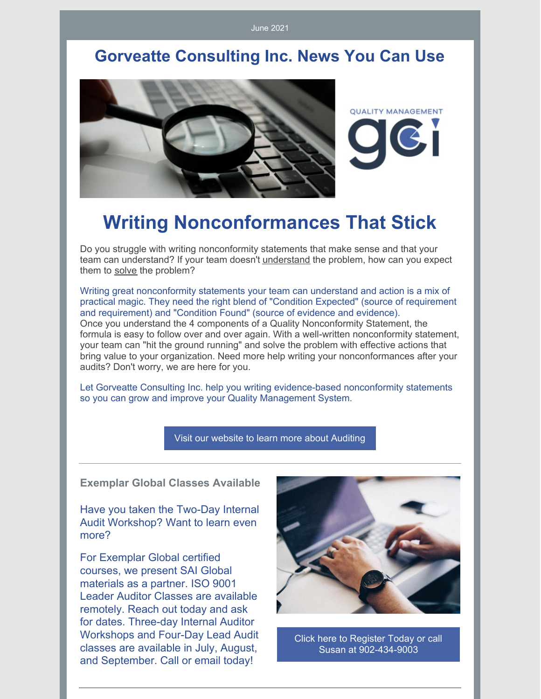June 2021

### **Gorveatte Consulting Inc. News You Can Use**



# **Writing Nonconformances That Stick**

Do you struggle with writing nonconformity statements that make sense and that your team can understand? If your team doesn't understand the problem, how can you expect them to solve the problem?

Writing great nonconformity statements your team can understand and action is a mix of practical magic. They need the right blend of "Condition Expected" (source of requirement and requirement) and "Condition Found" (source of evidence and evidence). Once you understand the 4 components of a Quality Nonconformity Statement, the formula is easy to follow over and over again. With a well-written nonconformity statement, your team can "hit the ground running" and solve the problem with effective actions that bring value to your organization. Need more help writing your nonconformances after your audits? Don't worry, we are here for you.

Let Gorveatte Consulting Inc. help you writing evidence-based nonconformity statements so you can grow and improve your Quality Management System.

Visit our website to learn more about [Auditing](http://www.gorveatteconsulting.com)

**Exemplar Global Classes Available**

Have you taken the Two-Day Internal Audit Workshop? Want to learn even more?

For Exemplar Global certified courses, we present SAI Global materials as a partner. ISO 9001 Leader Auditor Classes are available remotely. Reach out today and ask for dates. Three-day Internal Auditor Workshops and Four-Day Lead Audit classes are available in July, August, and September. Call or email today!



Click here to Register Today or call Susan at [902-434-9003](mailto:susan@gorveatteconsulting.com)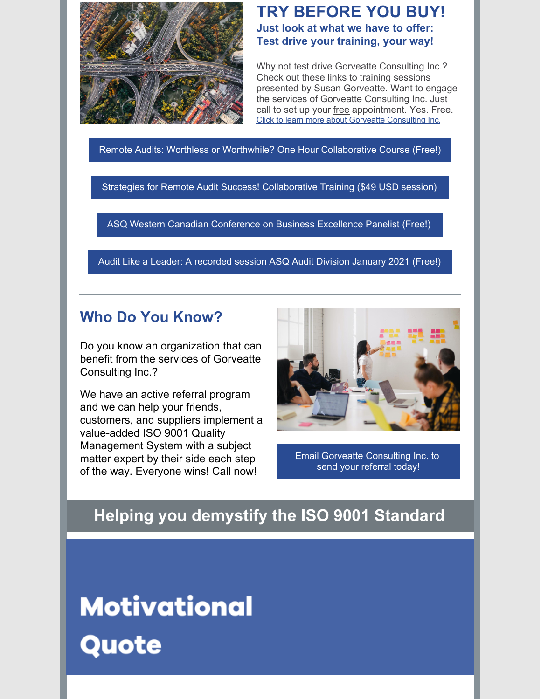

#### **TRY BEFORE YOU BUY! Just look at what we have to offer: Test drive your training, your way!**

Why not test drive Gorveatte Consulting Inc.? Check out these links to training sessions presented by Susan Gorveatte. Want to engage the services of Gorveatte Consulting Inc. Just call to set up your free appointment. Yes. Free. Click to learn more about Gorveatte [Consulting](https://www.gorveatteconsulting.com) Inc.

Remote Audits: Worthless or Worthwhile? One Hour [Collaborative](https://www.innovationtrainer.com/a/45725/eSzfFR6p) Course (Free!)

Strategies for Remote Audit Success! [Collaborative](https://www.innovationtrainer.com/a/45481/eSzfFR6p) Training (\$49 USD session)

ASQ Western Canadian [Conference](https://www.youtube.com/watch?v=qfkPxVN5khA&t=751s) on Business Excellence Panelist (Free!)

Audit Like a Leader: A [recorded](https://attendee.gotowebinar.com/recording/5889078149471724555) session ASQ Audit Division January 2021 (Free!)

#### **Who Do You Know?**

Do you know an organization that can benefit from the services of Gorveatte Consulting Inc.?

We have an active referral program and we can help your friends, customers, and suppliers implement a value-added ISO 9001 Quality Management System with a subject matter expert by their side each step of the way. Everyone wins! Call now!



Email Gorveatte [Consulting](https://www.gorveatteconsulting.com/contact.html) Inc. to send your referral today!

## **Helping you demystify the ISO 9001 Standard**

# **Motivational** Quote